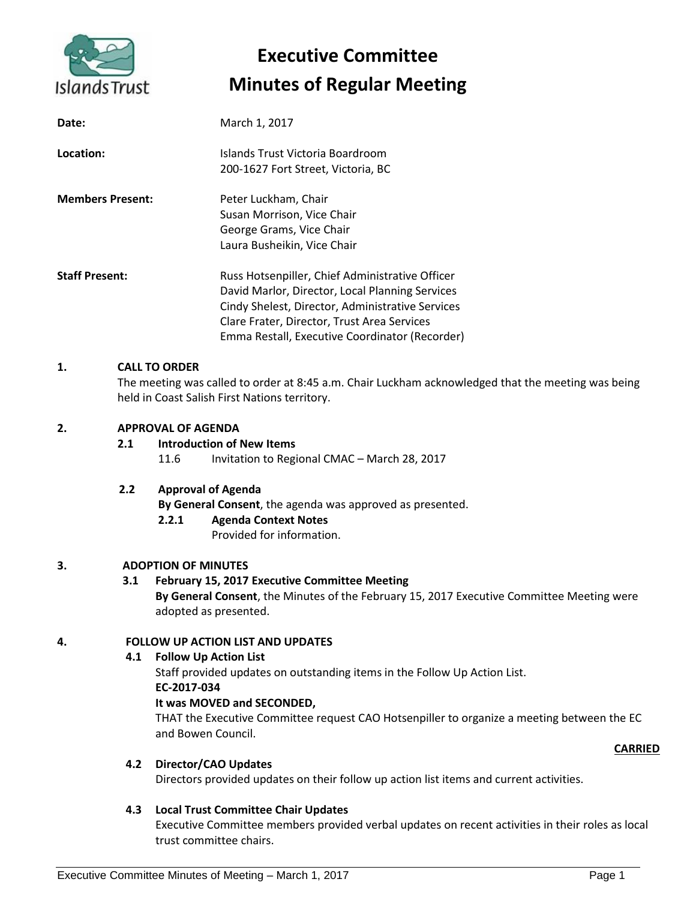

# **Executive Committee Minutes of Regular Meeting**

| Date:                   | March 1, 2017                                                                                                                                                                                                                                           |
|-------------------------|---------------------------------------------------------------------------------------------------------------------------------------------------------------------------------------------------------------------------------------------------------|
| Location:               | Islands Trust Victoria Boardroom<br>200-1627 Fort Street, Victoria, BC                                                                                                                                                                                  |
| <b>Members Present:</b> | Peter Luckham, Chair<br>Susan Morrison, Vice Chair<br>George Grams, Vice Chair<br>Laura Busheikin, Vice Chair                                                                                                                                           |
| <b>Staff Present:</b>   | Russ Hotsenpiller, Chief Administrative Officer<br>David Marlor, Director, Local Planning Services<br>Cindy Shelest, Director, Administrative Services<br>Clare Frater, Director, Trust Area Services<br>Emma Restall, Executive Coordinator (Recorder) |

#### **1. CALL TO ORDER**

The meeting was called to order at 8:45 a.m. Chair Luckham acknowledged that the meeting was being held in Coast Salish First Nations territory.

#### **2. APPROVAL OF AGENDA**

#### **2.1 Introduction of New Items**

11.6 Invitation to Regional CMAC – March 28, 2017

#### **2.2 Approval of Agenda**

**By General Consent**, the agenda was approved as presented.

#### **2.2.1 Agenda Context Notes**

Provided for information.

#### **3. ADOPTION OF MINUTES**

#### **3.1 February 15, 2017 Executive Committee Meeting**

**By General Consent**, the Minutes of the February 15, 2017 Executive Committee Meeting were adopted as presented.

#### **4. FOLLOW UP ACTION LIST AND UPDATES**

#### **4.1 Follow Up Action List**

Staff provided updates on outstanding items in the Follow Up Action List. **EC-2017-034**

#### **It was MOVED and SECONDED,**

THAT the Executive Committee request CAO Hotsenpiller to organize a meeting between the EC and Bowen Council.

#### **CARRIED**

#### **4.2 Director/CAO Updates**

Directors provided updates on their follow up action list items and current activities.

#### **4.3 Local Trust Committee Chair Updates**

Executive Committee members provided verbal updates on recent activities in their roles as local trust committee chairs.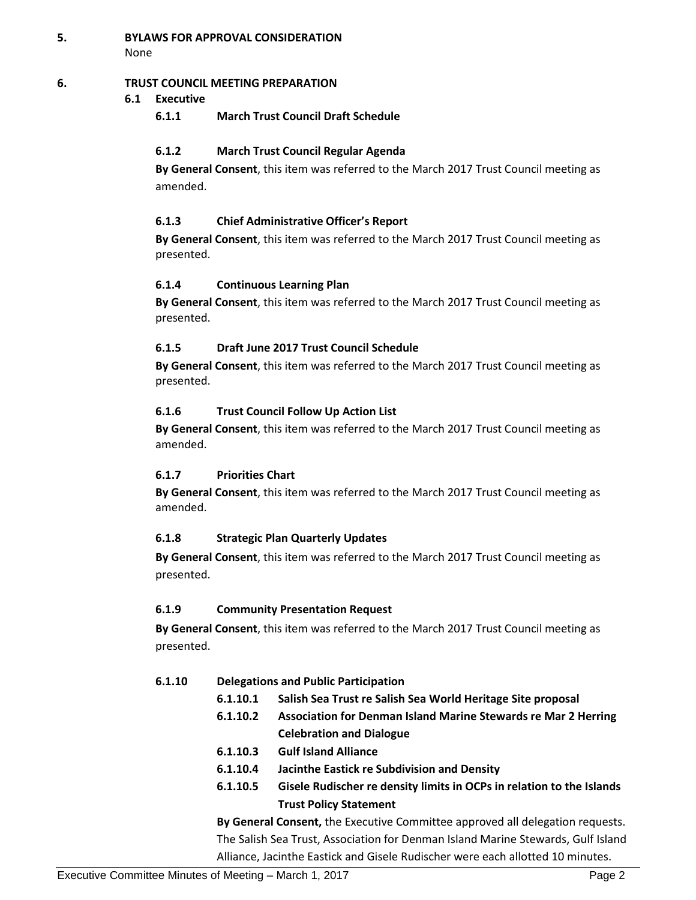**5. BYLAWS FOR APPROVAL CONSIDERATION** None

#### **6. TRUST COUNCIL MEETING PREPARATION**

#### **6.1 Executive**

**6.1.1 March Trust Council Draft Schedule**

#### **6.1.2 March Trust Council Regular Agenda**

**By General Consent**, this item was referred to the March 2017 Trust Council meeting as amended.

#### **6.1.3 Chief Administrative Officer's Report**

**By General Consent**, this item was referred to the March 2017 Trust Council meeting as presented.

#### **6.1.4 Continuous Learning Plan**

**By General Consent**, this item was referred to the March 2017 Trust Council meeting as presented.

#### **6.1.5 Draft June 2017 Trust Council Schedule**

**By General Consent**, this item was referred to the March 2017 Trust Council meeting as presented.

#### **6.1.6 Trust Council Follow Up Action List**

**By General Consent**, this item was referred to the March 2017 Trust Council meeting as amended.

#### **6.1.7 Priorities Chart**

**By General Consent**, this item was referred to the March 2017 Trust Council meeting as amended.

#### **6.1.8 Strategic Plan Quarterly Updates**

**By General Consent**, this item was referred to the March 2017 Trust Council meeting as presented.

#### **6.1.9 Community Presentation Request**

**By General Consent**, this item was referred to the March 2017 Trust Council meeting as presented.

#### **6.1.10 Delegations and Public Participation**

- **6.1.10.1 Salish Sea Trust re Salish Sea World Heritage Site proposal**
- **6.1.10.2 Association for Denman Island Marine Stewards re Mar 2 Herring Celebration and Dialogue**
- **6.1.10.3 Gulf Island Alliance**
- **6.1.10.4 Jacinthe Eastick re Subdivision and Density**
- **6.1.10.5 Gisele Rudischer re density limits in OCPs in relation to the Islands Trust Policy Statement**

**By General Consent,** the Executive Committee approved all delegation requests. The Salish Sea Trust, Association for Denman Island Marine Stewards, Gulf Island Alliance, Jacinthe Eastick and Gisele Rudischer were each allotted 10 minutes.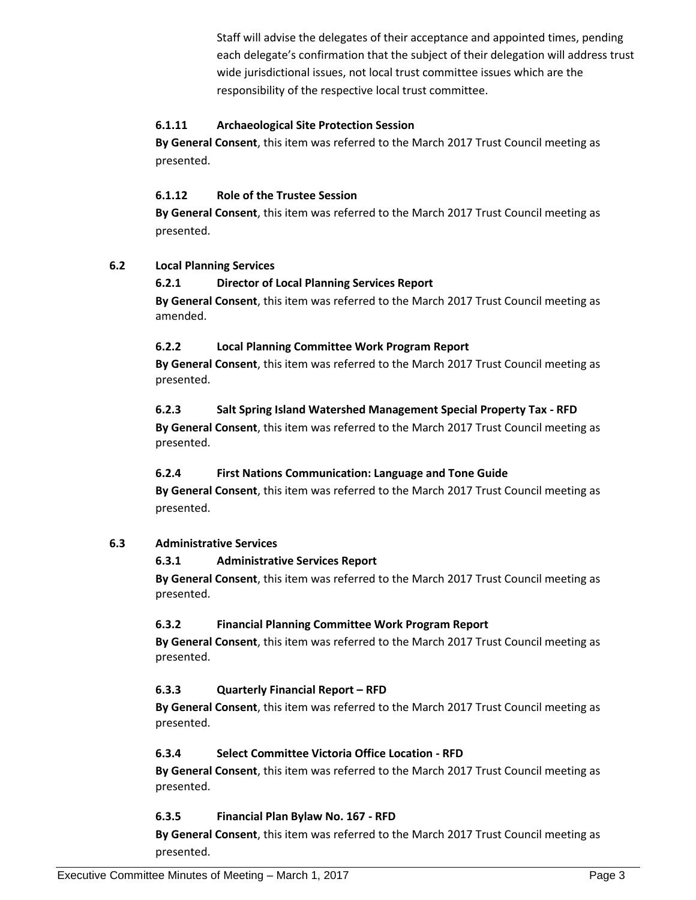Staff will advise the delegates of their acceptance and appointed times, pending each delegate's confirmation that the subject of their delegation will address trust wide jurisdictional issues, not local trust committee issues which are the responsibility of the respective local trust committee.

#### **6.1.11 Archaeological Site Protection Session**

**By General Consent**, this item was referred to the March 2017 Trust Council meeting as presented.

#### **6.1.12 Role of the Trustee Session**

**By General Consent**, this item was referred to the March 2017 Trust Council meeting as presented.

#### **6.2 Local Planning Services**

#### **6.2.1 Director of Local Planning Services Report**

**By General Consent**, this item was referred to the March 2017 Trust Council meeting as amended.

#### **6.2.2 Local Planning Committee Work Program Report**

**By General Consent**, this item was referred to the March 2017 Trust Council meeting as presented.

#### **6.2.3 Salt Spring Island Watershed Management Special Property Tax - RFD**

**By General Consent**, this item was referred to the March 2017 Trust Council meeting as presented.

#### **6.2.4 First Nations Communication: Language and Tone Guide**

**By General Consent**, this item was referred to the March 2017 Trust Council meeting as presented.

#### **6.3 Administrative Services**

#### **6.3.1 Administrative Services Report**

**By General Consent**, this item was referred to the March 2017 Trust Council meeting as presented.

#### **6.3.2 Financial Planning Committee Work Program Report**

**By General Consent**, this item was referred to the March 2017 Trust Council meeting as presented.

#### **6.3.3 Quarterly Financial Report – RFD**

**By General Consent**, this item was referred to the March 2017 Trust Council meeting as presented.

#### **6.3.4 Select Committee Victoria Office Location - RFD**

**By General Consent**, this item was referred to the March 2017 Trust Council meeting as presented.

#### **6.3.5 Financial Plan Bylaw No. 167 - RFD**

**By General Consent**, this item was referred to the March 2017 Trust Council meeting as presented.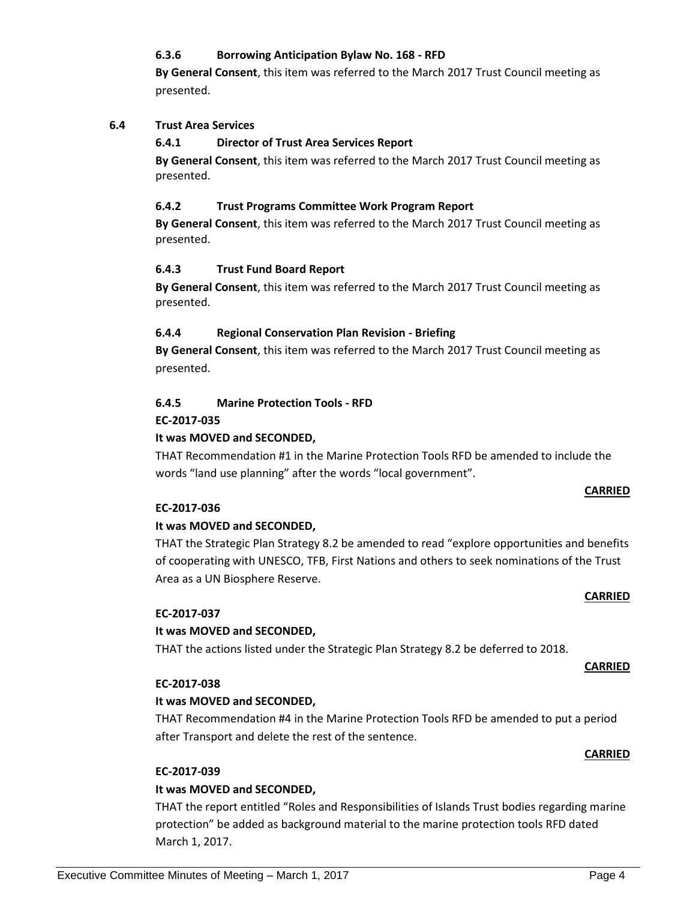Executive Committee Minutes of Meeting – March 1, 2017 **Page 4** Page 4

#### **6.3.6 Borrowing Anticipation Bylaw No. 168 - RFD**

**By General Consent**, this item was referred to the March 2017 Trust Council meeting as presented.

#### **6.4 Trust Area Services**

#### **6.4.1 Director of Trust Area Services Report**

**By General Consent**, this item was referred to the March 2017 Trust Council meeting as presented.

#### **6.4.2 Trust Programs Committee Work Program Report**

**By General Consent**, this item was referred to the March 2017 Trust Council meeting as presented.

#### **6.4.3 Trust Fund Board Report**

**By General Consent**, this item was referred to the March 2017 Trust Council meeting as presented.

#### **6.4.4 Regional Conservation Plan Revision - Briefing**

**By General Consent**, this item was referred to the March 2017 Trust Council meeting as presented.

#### **6.4.5 Marine Protection Tools - RFD**

#### **EC-2017-035**

#### **It was MOVED and SECONDED,**

THAT Recommendation #1 in the Marine Protection Tools RFD be amended to include the words "land use planning" after the words "local government".

#### **CARRIED**

#### **EC-2017-036**

#### **It was MOVED and SECONDED,**

THAT the Strategic Plan Strategy 8.2 be amended to read "explore opportunities and benefits of cooperating with UNESCO, TFB, First Nations and others to seek nominations of the Trust Area as a UN Biosphere Reserve.

#### **EC-2017-037**

#### **It was MOVED and SECONDED,**

THAT the actions listed under the Strategic Plan Strategy 8.2 be deferred to 2018.

#### **EC-2017-038**

#### **It was MOVED and SECONDED,**

THAT Recommendation #4 in the Marine Protection Tools RFD be amended to put a period after Transport and delete the rest of the sentence.

#### **EC-2017-039**

#### **It was MOVED and SECONDED,**

THAT the report entitled "Roles and Responsibilities of Islands Trust bodies regarding marine protection" be added as background material to the marine protection tools RFD dated March 1, 2017.

#### **CARRIED**

## **CARRIED**

**CARRIED**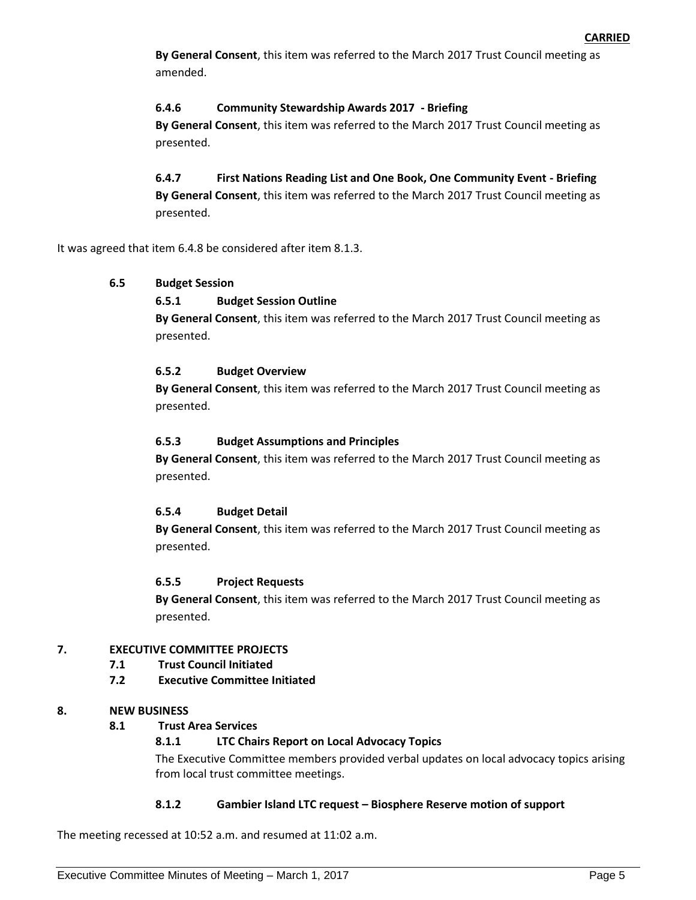**By General Consent**, this item was referred to the March 2017 Trust Council meeting as amended.

#### **6.4.6 Community Stewardship Awards 2017 - Briefing**

**By General Consent**, this item was referred to the March 2017 Trust Council meeting as presented.

**6.4.7 First Nations Reading List and One Book, One Community Event - Briefing By General Consent**, this item was referred to the March 2017 Trust Council meeting as presented.

It was agreed that item 6.4.8 be considered after item 8.1.3.

#### **6.5 Budget Session**

#### **6.5.1 Budget Session Outline**

**By General Consent**, this item was referred to the March 2017 Trust Council meeting as presented.

#### **6.5.2 Budget Overview**

**By General Consent**, this item was referred to the March 2017 Trust Council meeting as presented.

#### **6.5.3 Budget Assumptions and Principles**

**By General Consent**, this item was referred to the March 2017 Trust Council meeting as presented.

#### **6.5.4 Budget Detail**

**By General Consent**, this item was referred to the March 2017 Trust Council meeting as presented.

#### **6.5.5 Project Requests**

**By General Consent**, this item was referred to the March 2017 Trust Council meeting as presented.

#### **7. EXECUTIVE COMMITTEE PROJECTS**

- **7.1 Trust Council Initiated**
- **7.2 Executive Committee Initiated**

#### **8. NEW BUSINESS**

**8.1 Trust Area Services**

#### **8.1.1 LTC Chairs Report on Local Advocacy Topics**

The Executive Committee members provided verbal updates on local advocacy topics arising from local trust committee meetings.

#### **8.1.2 Gambier Island LTC request – Biosphere Reserve motion of support**

The meeting recessed at 10:52 a.m. and resumed at 11:02 a.m.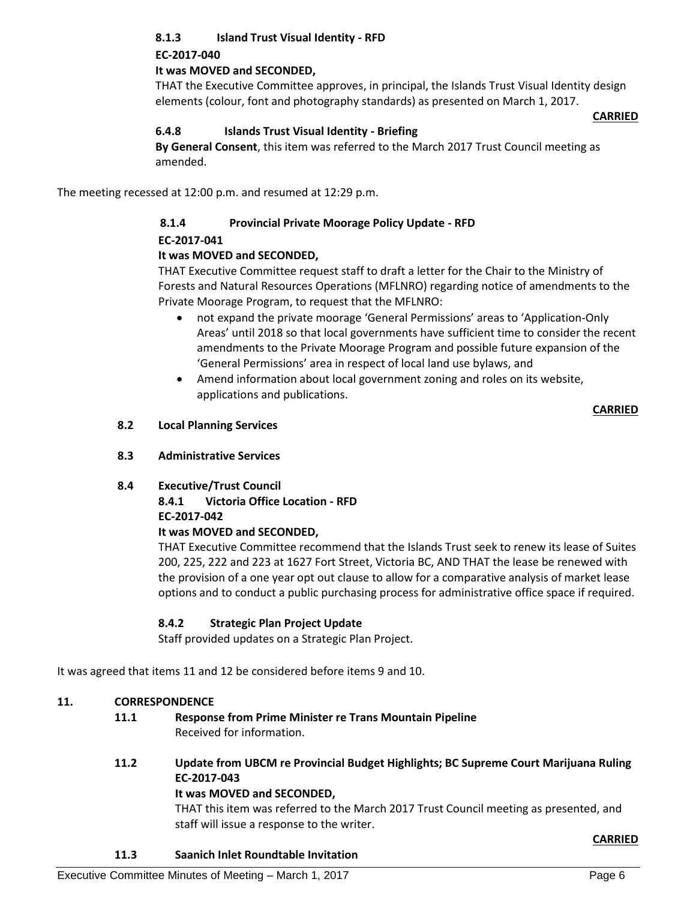### **8.1.3 Island Trust Visual Identity - RFD**

#### **EC-2017-040**

#### **It was MOVED and SECONDED,**

THAT the Executive Committee approves, in principal, the Islands Trust Visual Identity design elements (colour, font and photography standards) as presented on March 1, 2017.

#### **CARRIED**

#### **6.4.8 Islands Trust Visual Identity - Briefing**

**By General Consent**, this item was referred to the March 2017 Trust Council meeting as amended.

The meeting recessed at 12:00 p.m. and resumed at 12:29 p.m.

#### **8.1.4 Provincial Private Moorage Policy Update - RFD**

#### **EC-2017-041**

#### **It was MOVED and SECONDED,**

THAT Executive Committee request staff to draft a letter for the Chair to the Ministry of Forests and Natural Resources Operations (MFLNRO) regarding notice of amendments to the Private Moorage Program, to request that the MFLNRO:

- not expand the private moorage 'General Permissions' areas to 'Application-Only Areas' until 2018 so that local governments have sufficient time to consider the recent amendments to the Private Moorage Program and possible future expansion of the 'General Permissions' area in respect of local land use bylaws, and
- Amend information about local government zoning and roles on its website, applications and publications.

#### **CARRIED**

#### **8.2 Local Planning Services**

#### **8.3 Administrative Services**

#### **8.4 Executive/Trust Council**

#### **8.4.1 Victoria Office Location - RFD EC-2017-042 It was MOVED and SECONDED,**

#### THAT Executive Committee recommend that the Islands Trust seek to renew its lease of Suites 200, 225, 222 and 223 at 1627 Fort Street, Victoria BC, AND THAT the lease be renewed with the provision of a one year opt out clause to allow for a comparative analysis of market lease options and to conduct a public purchasing process for administrative office space if required.

#### **8.4.2 Strategic Plan Project Update**

Staff provided updates on a Strategic Plan Project.

It was agreed that items 11 and 12 be considered before items 9 and 10.

#### **11. CORRESPONDENCE**

#### **11.1 Response from Prime Minister re Trans Mountain Pipeline** Received for information.

### **11.2 Update from UBCM re Provincial Budget Highlights; BC Supreme Court Marijuana Ruling EC-2017-043**

#### **It was MOVED and SECONDED,**

THAT this item was referred to the March 2017 Trust Council meeting as presented, and staff will issue a response to the writer.

#### **CARRIED**

#### **11.3 Saanich Inlet Roundtable Invitation**